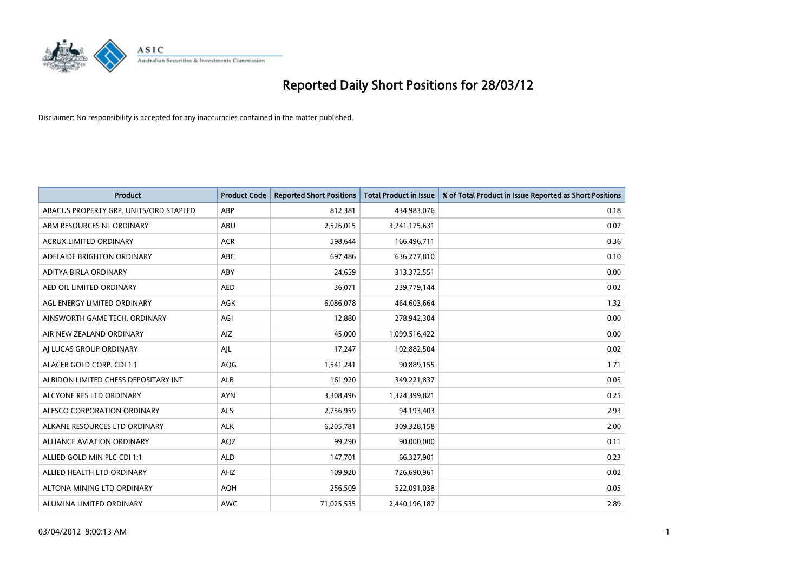

| <b>Product</b>                         | <b>Product Code</b> | <b>Reported Short Positions</b> | <b>Total Product in Issue</b> | % of Total Product in Issue Reported as Short Positions |
|----------------------------------------|---------------------|---------------------------------|-------------------------------|---------------------------------------------------------|
| ABACUS PROPERTY GRP. UNITS/ORD STAPLED | ABP                 | 812,381                         | 434,983,076                   | 0.18                                                    |
| ABM RESOURCES NL ORDINARY              | ABU                 | 2,526,015                       | 3,241,175,631                 | 0.07                                                    |
| <b>ACRUX LIMITED ORDINARY</b>          | <b>ACR</b>          | 598,644                         | 166,496,711                   | 0.36                                                    |
| ADELAIDE BRIGHTON ORDINARY             | <b>ABC</b>          | 697,486                         | 636,277,810                   | 0.10                                                    |
| ADITYA BIRLA ORDINARY                  | ABY                 | 24,659                          | 313,372,551                   | 0.00                                                    |
| AED OIL LIMITED ORDINARY               | <b>AED</b>          | 36,071                          | 239,779,144                   | 0.02                                                    |
| AGL ENERGY LIMITED ORDINARY            | AGK                 | 6,086,078                       | 464,603,664                   | 1.32                                                    |
| AINSWORTH GAME TECH. ORDINARY          | AGI                 | 12,880                          | 278,942,304                   | 0.00                                                    |
| AIR NEW ZEALAND ORDINARY               | AIZ                 | 45.000                          | 1,099,516,422                 | 0.00                                                    |
| AI LUCAS GROUP ORDINARY                | AJL                 | 17,247                          | 102,882,504                   | 0.02                                                    |
| ALACER GOLD CORP. CDI 1:1              | AQG                 | 1,541,241                       | 90,889,155                    | 1.71                                                    |
| ALBIDON LIMITED CHESS DEPOSITARY INT   | ALB                 | 161,920                         | 349,221,837                   | 0.05                                                    |
| ALCYONE RES LTD ORDINARY               | <b>AYN</b>          | 3,308,496                       | 1,324,399,821                 | 0.25                                                    |
| ALESCO CORPORATION ORDINARY            | ALS                 | 2,756,959                       | 94,193,403                    | 2.93                                                    |
| ALKANE RESOURCES LTD ORDINARY          | <b>ALK</b>          | 6,205,781                       | 309,328,158                   | 2.00                                                    |
| ALLIANCE AVIATION ORDINARY             | AQZ                 | 99,290                          | 90,000,000                    | 0.11                                                    |
| ALLIED GOLD MIN PLC CDI 1:1            | <b>ALD</b>          | 147,701                         | 66,327,901                    | 0.23                                                    |
| ALLIED HEALTH LTD ORDINARY             | AHZ                 | 109,920                         | 726,690,961                   | 0.02                                                    |
| ALTONA MINING LTD ORDINARY             | <b>AOH</b>          | 256,509                         | 522,091,038                   | 0.05                                                    |
| ALUMINA LIMITED ORDINARY               | <b>AWC</b>          | 71,025,535                      | 2,440,196,187                 | 2.89                                                    |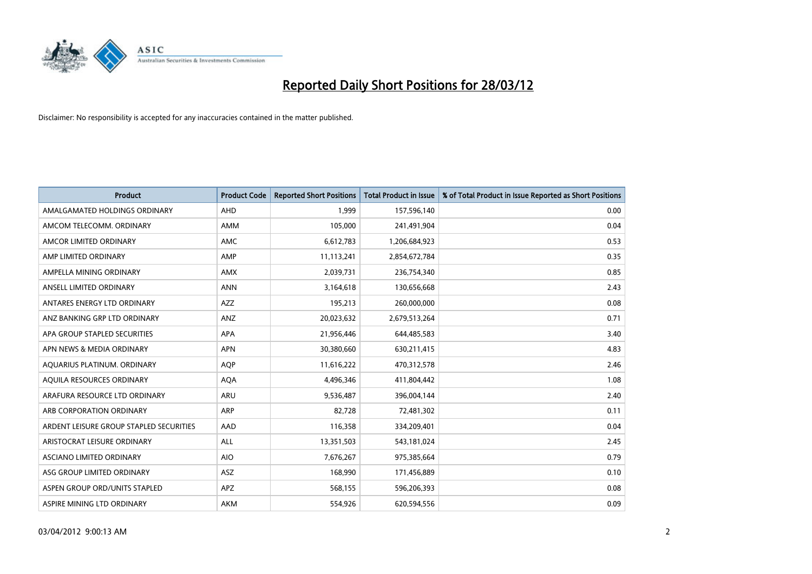

| <b>Product</b>                          | <b>Product Code</b> | <b>Reported Short Positions</b> | <b>Total Product in Issue</b> | % of Total Product in Issue Reported as Short Positions |
|-----------------------------------------|---------------------|---------------------------------|-------------------------------|---------------------------------------------------------|
| AMALGAMATED HOLDINGS ORDINARY           | AHD                 | 1.999                           | 157,596,140                   | 0.00                                                    |
| AMCOM TELECOMM. ORDINARY                | AMM                 | 105,000                         | 241,491,904                   | 0.04                                                    |
| AMCOR LIMITED ORDINARY                  | <b>AMC</b>          | 6,612,783                       | 1,206,684,923                 | 0.53                                                    |
| AMP LIMITED ORDINARY                    | AMP                 | 11,113,241                      | 2,854,672,784                 | 0.35                                                    |
| AMPELLA MINING ORDINARY                 | <b>AMX</b>          | 2,039,731                       | 236,754,340                   | 0.85                                                    |
| ANSELL LIMITED ORDINARY                 | <b>ANN</b>          | 3,164,618                       | 130,656,668                   | 2.43                                                    |
| ANTARES ENERGY LTD ORDINARY             | AZZ                 | 195,213                         | 260,000,000                   | 0.08                                                    |
| ANZ BANKING GRP LTD ORDINARY            | ANZ                 | 20,023,632                      | 2,679,513,264                 | 0.71                                                    |
| APA GROUP STAPLED SECURITIES            | <b>APA</b>          | 21,956,446                      | 644,485,583                   | 3.40                                                    |
| APN NEWS & MEDIA ORDINARY               | <b>APN</b>          | 30,380,660                      | 630,211,415                   | 4.83                                                    |
| AQUARIUS PLATINUM. ORDINARY             | <b>AOP</b>          | 11,616,222                      | 470,312,578                   | 2.46                                                    |
| AQUILA RESOURCES ORDINARY               | <b>AQA</b>          | 4,496,346                       | 411,804,442                   | 1.08                                                    |
| ARAFURA RESOURCE LTD ORDINARY           | ARU                 | 9,536,487                       | 396,004,144                   | 2.40                                                    |
| ARB CORPORATION ORDINARY                | ARP                 | 82,728                          | 72,481,302                    | 0.11                                                    |
| ARDENT LEISURE GROUP STAPLED SECURITIES | AAD                 | 116,358                         | 334,209,401                   | 0.04                                                    |
| ARISTOCRAT LEISURE ORDINARY             | ALL                 | 13,351,503                      | 543,181,024                   | 2.45                                                    |
| ASCIANO LIMITED ORDINARY                | <b>AIO</b>          | 7,676,267                       | 975,385,664                   | 0.79                                                    |
| ASG GROUP LIMITED ORDINARY              | ASZ                 | 168,990                         | 171,456,889                   | 0.10                                                    |
| ASPEN GROUP ORD/UNITS STAPLED           | <b>APZ</b>          | 568,155                         | 596,206,393                   | 0.08                                                    |
| ASPIRE MINING LTD ORDINARY              | AKM                 | 554,926                         | 620,594,556                   | 0.09                                                    |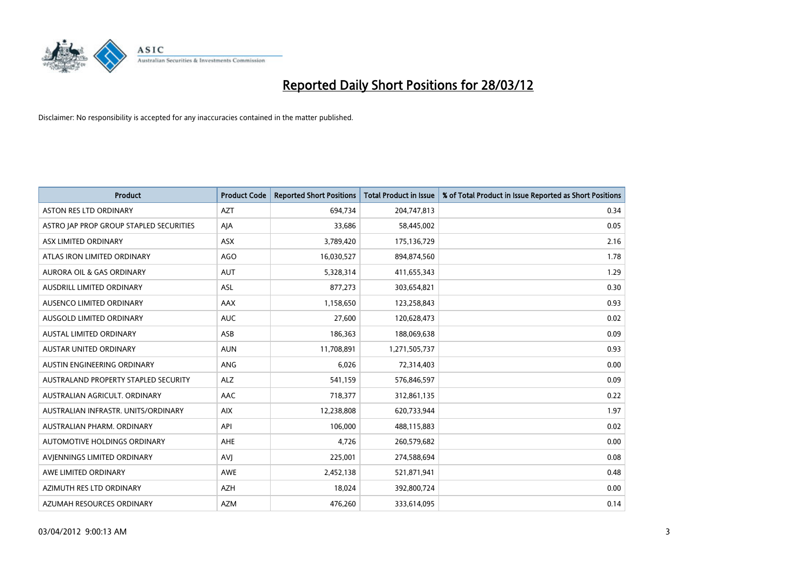

| <b>Product</b>                          | <b>Product Code</b> | <b>Reported Short Positions</b> | <b>Total Product in Issue</b> | % of Total Product in Issue Reported as Short Positions |
|-----------------------------------------|---------------------|---------------------------------|-------------------------------|---------------------------------------------------------|
| <b>ASTON RES LTD ORDINARY</b>           | <b>AZT</b>          | 694,734                         | 204,747,813                   | 0.34                                                    |
| ASTRO JAP PROP GROUP STAPLED SECURITIES | AJA                 | 33,686                          | 58,445,002                    | 0.05                                                    |
| ASX LIMITED ORDINARY                    | <b>ASX</b>          | 3,789,420                       | 175,136,729                   | 2.16                                                    |
| ATLAS IRON LIMITED ORDINARY             | AGO                 | 16,030,527                      | 894,874,560                   | 1.78                                                    |
| <b>AURORA OIL &amp; GAS ORDINARY</b>    | <b>AUT</b>          | 5,328,314                       | 411,655,343                   | 1.29                                                    |
| AUSDRILL LIMITED ORDINARY               | <b>ASL</b>          | 877,273                         | 303,654,821                   | 0.30                                                    |
| AUSENCO LIMITED ORDINARY                | AAX                 | 1,158,650                       | 123,258,843                   | 0.93                                                    |
| AUSGOLD LIMITED ORDINARY                | <b>AUC</b>          | 27,600                          | 120,628,473                   | 0.02                                                    |
| <b>AUSTAL LIMITED ORDINARY</b>          | ASB                 | 186,363                         | 188,069,638                   | 0.09                                                    |
| <b>AUSTAR UNITED ORDINARY</b>           | <b>AUN</b>          | 11,708,891                      | 1,271,505,737                 | 0.93                                                    |
| AUSTIN ENGINEERING ORDINARY             | ANG                 | 6,026                           | 72,314,403                    | 0.00                                                    |
| AUSTRALAND PROPERTY STAPLED SECURITY    | <b>ALZ</b>          | 541,159                         | 576,846,597                   | 0.09                                                    |
| AUSTRALIAN AGRICULT. ORDINARY           | AAC                 | 718,377                         | 312,861,135                   | 0.22                                                    |
| AUSTRALIAN INFRASTR. UNITS/ORDINARY     | <b>AIX</b>          | 12,238,808                      | 620,733,944                   | 1.97                                                    |
| AUSTRALIAN PHARM, ORDINARY              | API                 | 106,000                         | 488,115,883                   | 0.02                                                    |
| AUTOMOTIVE HOLDINGS ORDINARY            | AHE                 | 4,726                           | 260,579,682                   | 0.00                                                    |
| AVIENNINGS LIMITED ORDINARY             | <b>AVJ</b>          | 225,001                         | 274,588,694                   | 0.08                                                    |
| AWE LIMITED ORDINARY                    | <b>AWE</b>          | 2,452,138                       | 521,871,941                   | 0.48                                                    |
| AZIMUTH RES LTD ORDINARY                | <b>AZH</b>          | 18,024                          | 392,800,724                   | 0.00                                                    |
| AZUMAH RESOURCES ORDINARY               | AZM                 | 476,260                         | 333,614,095                   | 0.14                                                    |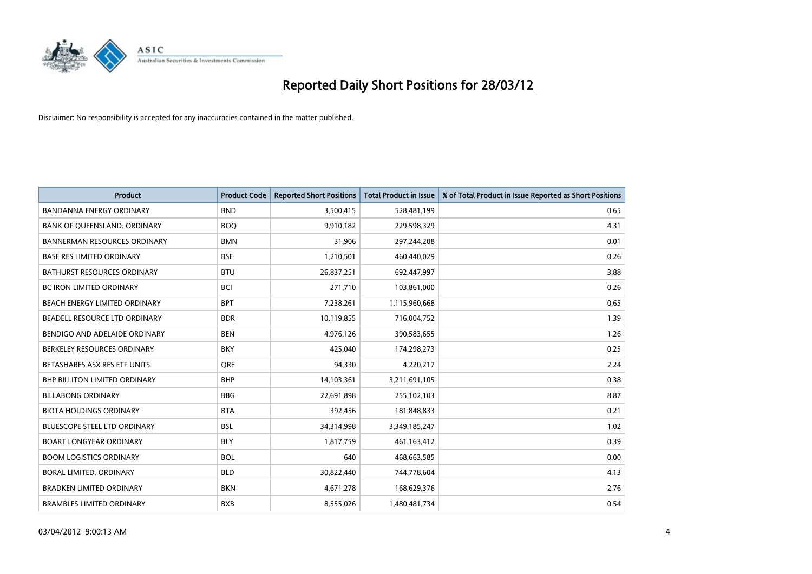

| <b>Product</b>                       | <b>Product Code</b> | <b>Reported Short Positions</b> | <b>Total Product in Issue</b> | % of Total Product in Issue Reported as Short Positions |
|--------------------------------------|---------------------|---------------------------------|-------------------------------|---------------------------------------------------------|
| <b>BANDANNA ENERGY ORDINARY</b>      | <b>BND</b>          | 3,500,415                       | 528,481,199                   | 0.65                                                    |
| BANK OF QUEENSLAND. ORDINARY         | <b>BOO</b>          | 9,910,182                       | 229,598,329                   | 4.31                                                    |
| <b>BANNERMAN RESOURCES ORDINARY</b>  | <b>BMN</b>          | 31,906                          | 297,244,208                   | 0.01                                                    |
| <b>BASE RES LIMITED ORDINARY</b>     | <b>BSE</b>          | 1,210,501                       | 460,440,029                   | 0.26                                                    |
| <b>BATHURST RESOURCES ORDINARY</b>   | <b>BTU</b>          | 26,837,251                      | 692,447,997                   | 3.88                                                    |
| <b>BC IRON LIMITED ORDINARY</b>      | <b>BCI</b>          | 271,710                         | 103,861,000                   | 0.26                                                    |
| <b>BEACH ENERGY LIMITED ORDINARY</b> | <b>BPT</b>          | 7,238,261                       | 1,115,960,668                 | 0.65                                                    |
| BEADELL RESOURCE LTD ORDINARY        | <b>BDR</b>          | 10,119,855                      | 716,004,752                   | 1.39                                                    |
| BENDIGO AND ADELAIDE ORDINARY        | <b>BEN</b>          | 4,976,126                       | 390,583,655                   | 1.26                                                    |
| BERKELEY RESOURCES ORDINARY          | <b>BKY</b>          | 425,040                         | 174,298,273                   | 0.25                                                    |
| BETASHARES ASX RES ETF UNITS         | <b>ORE</b>          | 94,330                          | 4,220,217                     | 2.24                                                    |
| <b>BHP BILLITON LIMITED ORDINARY</b> | <b>BHP</b>          | 14,103,361                      | 3,211,691,105                 | 0.38                                                    |
| <b>BILLABONG ORDINARY</b>            | <b>BBG</b>          | 22,691,898                      | 255,102,103                   | 8.87                                                    |
| <b>BIOTA HOLDINGS ORDINARY</b>       | <b>BTA</b>          | 392,456                         | 181,848,833                   | 0.21                                                    |
| <b>BLUESCOPE STEEL LTD ORDINARY</b>  | <b>BSL</b>          | 34,314,998                      | 3,349,185,247                 | 1.02                                                    |
| <b>BOART LONGYEAR ORDINARY</b>       | <b>BLY</b>          | 1,817,759                       | 461,163,412                   | 0.39                                                    |
| <b>BOOM LOGISTICS ORDINARY</b>       | <b>BOL</b>          | 640                             | 468,663,585                   | 0.00                                                    |
| <b>BORAL LIMITED, ORDINARY</b>       | <b>BLD</b>          | 30,822,440                      | 744,778,604                   | 4.13                                                    |
| <b>BRADKEN LIMITED ORDINARY</b>      | <b>BKN</b>          | 4,671,278                       | 168,629,376                   | 2.76                                                    |
| <b>BRAMBLES LIMITED ORDINARY</b>     | <b>BXB</b>          | 8,555,026                       | 1,480,481,734                 | 0.54                                                    |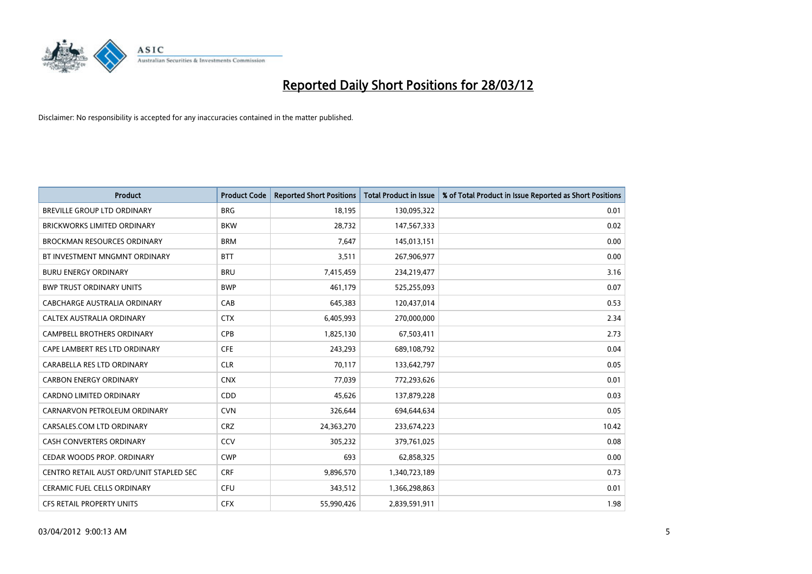

| <b>Product</b>                          | <b>Product Code</b> | <b>Reported Short Positions</b> | <b>Total Product in Issue</b> | % of Total Product in Issue Reported as Short Positions |
|-----------------------------------------|---------------------|---------------------------------|-------------------------------|---------------------------------------------------------|
| <b>BREVILLE GROUP LTD ORDINARY</b>      | <b>BRG</b>          | 18,195                          | 130,095,322                   | 0.01                                                    |
| <b>BRICKWORKS LIMITED ORDINARY</b>      | <b>BKW</b>          | 28,732                          | 147,567,333                   | 0.02                                                    |
| <b>BROCKMAN RESOURCES ORDINARY</b>      | <b>BRM</b>          | 7,647                           | 145,013,151                   | 0.00                                                    |
| BT INVESTMENT MNGMNT ORDINARY           | <b>BTT</b>          | 3,511                           | 267,906,977                   | 0.00                                                    |
| <b>BURU ENERGY ORDINARY</b>             | <b>BRU</b>          | 7,415,459                       | 234,219,477                   | 3.16                                                    |
| <b>BWP TRUST ORDINARY UNITS</b>         | <b>BWP</b>          | 461,179                         | 525,255,093                   | 0.07                                                    |
| <b>CABCHARGE AUSTRALIA ORDINARY</b>     | CAB                 | 645,383                         | 120,437,014                   | 0.53                                                    |
| CALTEX AUSTRALIA ORDINARY               | <b>CTX</b>          | 6,405,993                       | 270,000,000                   | 2.34                                                    |
| <b>CAMPBELL BROTHERS ORDINARY</b>       | <b>CPB</b>          | 1,825,130                       | 67,503,411                    | 2.73                                                    |
| CAPE LAMBERT RES LTD ORDINARY           | <b>CFE</b>          | 243,293                         | 689,108,792                   | 0.04                                                    |
| CARABELLA RES LTD ORDINARY              | <b>CLR</b>          | 70,117                          | 133,642,797                   | 0.05                                                    |
| <b>CARBON ENERGY ORDINARY</b>           | <b>CNX</b>          | 77,039                          | 772,293,626                   | 0.01                                                    |
| CARDNO LIMITED ORDINARY                 | CDD                 | 45,626                          | 137,879,228                   | 0.03                                                    |
| CARNARVON PETROLEUM ORDINARY            | <b>CVN</b>          | 326,644                         | 694,644,634                   | 0.05                                                    |
| CARSALES.COM LTD ORDINARY               | <b>CRZ</b>          | 24,363,270                      | 233,674,223                   | 10.42                                                   |
| CASH CONVERTERS ORDINARY                | CCV                 | 305,232                         | 379,761,025                   | 0.08                                                    |
| CEDAR WOODS PROP. ORDINARY              | <b>CWP</b>          | 693                             | 62,858,325                    | 0.00                                                    |
| CENTRO RETAIL AUST ORD/UNIT STAPLED SEC | <b>CRF</b>          | 9,896,570                       | 1,340,723,189                 | 0.73                                                    |
| CERAMIC FUEL CELLS ORDINARY             | <b>CFU</b>          | 343,512                         | 1,366,298,863                 | 0.01                                                    |
| CFS RETAIL PROPERTY UNITS               | <b>CFX</b>          | 55,990,426                      | 2,839,591,911                 | 1.98                                                    |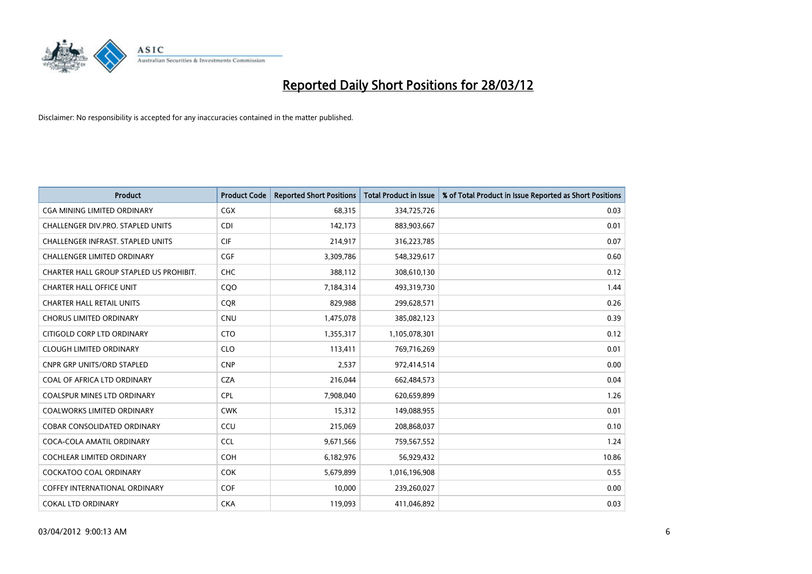

| <b>Product</b>                           | <b>Product Code</b> | <b>Reported Short Positions</b> | <b>Total Product in Issue</b> | % of Total Product in Issue Reported as Short Positions |
|------------------------------------------|---------------------|---------------------------------|-------------------------------|---------------------------------------------------------|
| <b>CGA MINING LIMITED ORDINARY</b>       | <b>CGX</b>          | 68,315                          | 334,725,726                   | 0.03                                                    |
| CHALLENGER DIV.PRO. STAPLED UNITS        | <b>CDI</b>          | 142,173                         | 883,903,667                   | 0.01                                                    |
| <b>CHALLENGER INFRAST, STAPLED UNITS</b> | <b>CIF</b>          | 214,917                         | 316,223,785                   | 0.07                                                    |
| <b>CHALLENGER LIMITED ORDINARY</b>       | <b>CGF</b>          | 3,309,786                       | 548,329,617                   | 0.60                                                    |
| CHARTER HALL GROUP STAPLED US PROHIBIT.  | <b>CHC</b>          | 388,112                         | 308,610,130                   | 0.12                                                    |
| <b>CHARTER HALL OFFICE UNIT</b>          | CQO                 | 7,184,314                       | 493,319,730                   | 1.44                                                    |
| <b>CHARTER HALL RETAIL UNITS</b>         | <b>COR</b>          | 829,988                         | 299,628,571                   | 0.26                                                    |
| <b>CHORUS LIMITED ORDINARY</b>           | <b>CNU</b>          | 1,475,078                       | 385,082,123                   | 0.39                                                    |
| CITIGOLD CORP LTD ORDINARY               | <b>CTO</b>          | 1,355,317                       | 1,105,078,301                 | 0.12                                                    |
| <b>CLOUGH LIMITED ORDINARY</b>           | <b>CLO</b>          | 113,411                         | 769,716,269                   | 0.01                                                    |
| CNPR GRP UNITS/ORD STAPLED               | <b>CNP</b>          | 2,537                           | 972,414,514                   | 0.00                                                    |
| COAL OF AFRICA LTD ORDINARY              | <b>CZA</b>          | 216,044                         | 662,484,573                   | 0.04                                                    |
| COALSPUR MINES LTD ORDINARY              | <b>CPL</b>          | 7,908,040                       | 620,659,899                   | 1.26                                                    |
| <b>COALWORKS LIMITED ORDINARY</b>        | <b>CWK</b>          | 15,312                          | 149,088,955                   | 0.01                                                    |
| <b>COBAR CONSOLIDATED ORDINARY</b>       | CCU                 | 215,069                         | 208,868,037                   | 0.10                                                    |
| COCA-COLA AMATIL ORDINARY                | <b>CCL</b>          | 9,671,566                       | 759,567,552                   | 1.24                                                    |
| COCHLEAR LIMITED ORDINARY                | <b>COH</b>          | 6,182,976                       | 56,929,432                    | 10.86                                                   |
| <b>COCKATOO COAL ORDINARY</b>            | <b>COK</b>          | 5,679,899                       | 1,016,196,908                 | 0.55                                                    |
| <b>COFFEY INTERNATIONAL ORDINARY</b>     | <b>COF</b>          | 10,000                          | 239,260,027                   | 0.00                                                    |
| <b>COKAL LTD ORDINARY</b>                | <b>CKA</b>          | 119,093                         | 411,046,892                   | 0.03                                                    |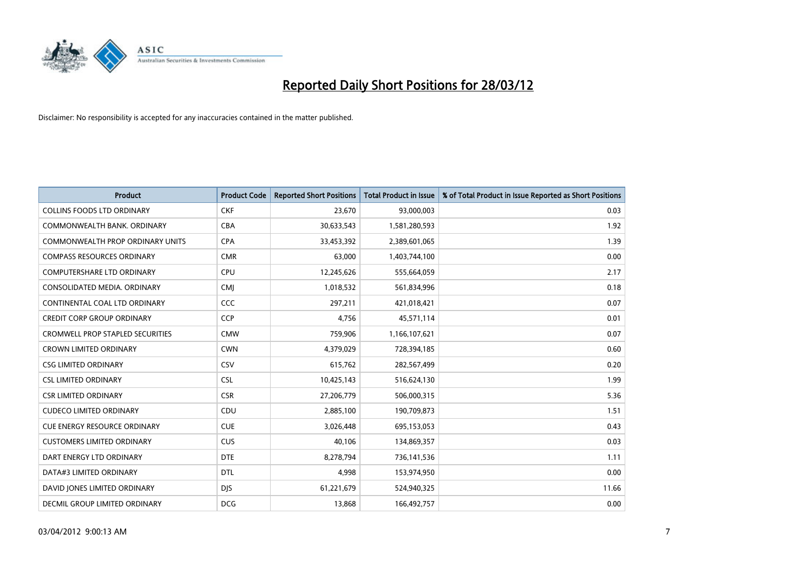

| Product                                 | <b>Product Code</b> | <b>Reported Short Positions</b> | <b>Total Product in Issue</b> | % of Total Product in Issue Reported as Short Positions |
|-----------------------------------------|---------------------|---------------------------------|-------------------------------|---------------------------------------------------------|
| <b>COLLINS FOODS LTD ORDINARY</b>       | <b>CKF</b>          | 23,670                          | 93,000,003                    | 0.03                                                    |
| COMMONWEALTH BANK, ORDINARY             | <b>CBA</b>          | 30,633,543                      | 1,581,280,593                 | 1.92                                                    |
| <b>COMMONWEALTH PROP ORDINARY UNITS</b> | <b>CPA</b>          | 33,453,392                      | 2,389,601,065                 | 1.39                                                    |
| <b>COMPASS RESOURCES ORDINARY</b>       | <b>CMR</b>          | 63,000                          | 1,403,744,100                 | 0.00                                                    |
| <b>COMPUTERSHARE LTD ORDINARY</b>       | <b>CPU</b>          | 12,245,626                      | 555,664,059                   | 2.17                                                    |
| CONSOLIDATED MEDIA, ORDINARY            | <b>CMJ</b>          | 1,018,532                       | 561,834,996                   | 0.18                                                    |
| CONTINENTAL COAL LTD ORDINARY           | CCC                 | 297,211                         | 421,018,421                   | 0.07                                                    |
| <b>CREDIT CORP GROUP ORDINARY</b>       | <b>CCP</b>          | 4,756                           | 45,571,114                    | 0.01                                                    |
| <b>CROMWELL PROP STAPLED SECURITIES</b> | <b>CMW</b>          | 759,906                         | 1,166,107,621                 | 0.07                                                    |
| <b>CROWN LIMITED ORDINARY</b>           | <b>CWN</b>          | 4,379,029                       | 728,394,185                   | 0.60                                                    |
| <b>CSG LIMITED ORDINARY</b>             | CSV                 | 615,762                         | 282,567,499                   | 0.20                                                    |
| <b>CSL LIMITED ORDINARY</b>             | <b>CSL</b>          | 10,425,143                      | 516,624,130                   | 1.99                                                    |
| <b>CSR LIMITED ORDINARY</b>             | <b>CSR</b>          | 27,206,779                      | 506,000,315                   | 5.36                                                    |
| <b>CUDECO LIMITED ORDINARY</b>          | CDU                 | 2,885,100                       | 190,709,873                   | 1.51                                                    |
| <b>CUE ENERGY RESOURCE ORDINARY</b>     | <b>CUE</b>          | 3,026,448                       | 695,153,053                   | 0.43                                                    |
| <b>CUSTOMERS LIMITED ORDINARY</b>       | <b>CUS</b>          | 40,106                          | 134,869,357                   | 0.03                                                    |
| DART ENERGY LTD ORDINARY                | <b>DTE</b>          | 8,278,794                       | 736,141,536                   | 1.11                                                    |
| DATA#3 LIMITED ORDINARY                 | <b>DTL</b>          | 4,998                           | 153,974,950                   | 0.00                                                    |
| DAVID JONES LIMITED ORDINARY            | <b>DJS</b>          | 61,221,679                      | 524,940,325                   | 11.66                                                   |
| DECMIL GROUP LIMITED ORDINARY           | <b>DCG</b>          | 13,868                          | 166,492,757                   | 0.00                                                    |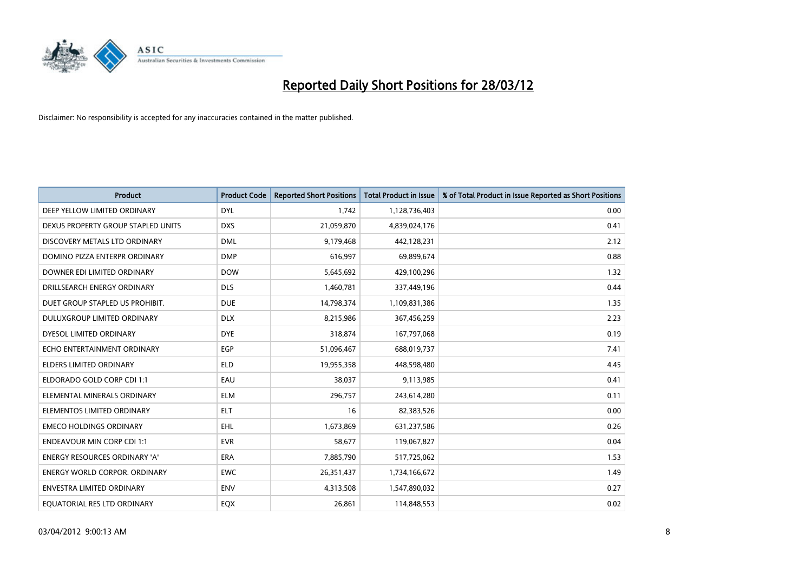

| <b>Product</b>                       | <b>Product Code</b> | <b>Reported Short Positions</b> | <b>Total Product in Issue</b> | % of Total Product in Issue Reported as Short Positions |
|--------------------------------------|---------------------|---------------------------------|-------------------------------|---------------------------------------------------------|
| DEEP YELLOW LIMITED ORDINARY         | <b>DYL</b>          | 1.742                           | 1,128,736,403                 | 0.00                                                    |
| DEXUS PROPERTY GROUP STAPLED UNITS   | <b>DXS</b>          | 21,059,870                      | 4,839,024,176                 | 0.41                                                    |
| DISCOVERY METALS LTD ORDINARY        | <b>DML</b>          | 9,179,468                       | 442,128,231                   | 2.12                                                    |
| DOMINO PIZZA ENTERPR ORDINARY        | <b>DMP</b>          | 616,997                         | 69,899,674                    | 0.88                                                    |
| DOWNER EDI LIMITED ORDINARY          | <b>DOW</b>          | 5,645,692                       | 429,100,296                   | 1.32                                                    |
| DRILLSEARCH ENERGY ORDINARY          | <b>DLS</b>          | 1,460,781                       | 337,449,196                   | 0.44                                                    |
| DUET GROUP STAPLED US PROHIBIT.      | <b>DUE</b>          | 14,798,374                      | 1,109,831,386                 | 1.35                                                    |
| DULUXGROUP LIMITED ORDINARY          | <b>DLX</b>          | 8,215,986                       | 367,456,259                   | 2.23                                                    |
| DYESOL LIMITED ORDINARY              | <b>DYE</b>          | 318,874                         | 167,797,068                   | 0.19                                                    |
| ECHO ENTERTAINMENT ORDINARY          | <b>EGP</b>          | 51,096,467                      | 688,019,737                   | 7.41                                                    |
| ELDERS LIMITED ORDINARY              | <b>ELD</b>          | 19,955,358                      | 448,598,480                   | 4.45                                                    |
| ELDORADO GOLD CORP CDI 1:1           | EAU                 | 38,037                          | 9,113,985                     | 0.41                                                    |
| ELEMENTAL MINERALS ORDINARY          | <b>ELM</b>          | 296,757                         | 243,614,280                   | 0.11                                                    |
| ELEMENTOS LIMITED ORDINARY           | ELT                 | 16                              | 82,383,526                    | 0.00                                                    |
| <b>EMECO HOLDINGS ORDINARY</b>       | <b>EHL</b>          | 1,673,869                       | 631,237,586                   | 0.26                                                    |
| <b>ENDEAVOUR MIN CORP CDI 1:1</b>    | <b>EVR</b>          | 58,677                          | 119,067,827                   | 0.04                                                    |
| ENERGY RESOURCES ORDINARY 'A'        | ERA                 | 7,885,790                       | 517,725,062                   | 1.53                                                    |
| <b>ENERGY WORLD CORPOR. ORDINARY</b> | <b>EWC</b>          | 26,351,437                      | 1,734,166,672                 | 1.49                                                    |
| <b>ENVESTRA LIMITED ORDINARY</b>     | <b>ENV</b>          | 4,313,508                       | 1,547,890,032                 | 0.27                                                    |
| EQUATORIAL RES LTD ORDINARY          | EQX                 | 26,861                          | 114,848,553                   | 0.02                                                    |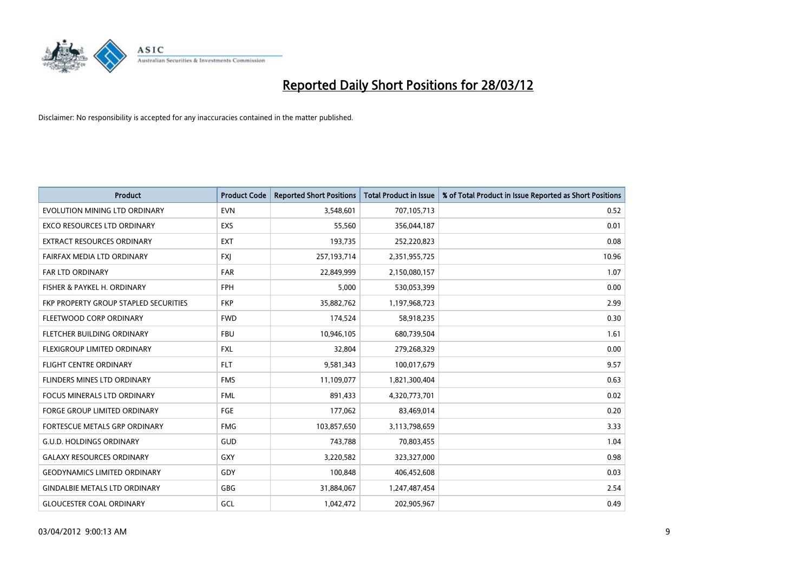

| <b>Product</b>                        | <b>Product Code</b> | <b>Reported Short Positions</b> | <b>Total Product in Issue</b> | % of Total Product in Issue Reported as Short Positions |
|---------------------------------------|---------------------|---------------------------------|-------------------------------|---------------------------------------------------------|
| EVOLUTION MINING LTD ORDINARY         | <b>EVN</b>          | 3,548,601                       | 707,105,713                   | 0.52                                                    |
| EXCO RESOURCES LTD ORDINARY           | EXS                 | 55,560                          | 356,044,187                   | 0.01                                                    |
| <b>EXTRACT RESOURCES ORDINARY</b>     | <b>EXT</b>          | 193,735                         | 252,220,823                   | 0.08                                                    |
| FAIRFAX MEDIA LTD ORDINARY            | FXJ                 | 257,193,714                     | 2,351,955,725                 | 10.96                                                   |
| <b>FAR LTD ORDINARY</b>               | <b>FAR</b>          | 22,849,999                      | 2,150,080,157                 | 1.07                                                    |
| FISHER & PAYKEL H. ORDINARY           | <b>FPH</b>          | 5,000                           | 530,053,399                   | 0.00                                                    |
| FKP PROPERTY GROUP STAPLED SECURITIES | <b>FKP</b>          | 35,882,762                      | 1,197,968,723                 | 2.99                                                    |
| FLEETWOOD CORP ORDINARY               | <b>FWD</b>          | 174,524                         | 58,918,235                    | 0.30                                                    |
| FLETCHER BUILDING ORDINARY            | <b>FBU</b>          | 10,946,105                      | 680,739,504                   | 1.61                                                    |
| FLEXIGROUP LIMITED ORDINARY           | <b>FXL</b>          | 32,804                          | 279,268,329                   | 0.00                                                    |
| FLIGHT CENTRE ORDINARY                | <b>FLT</b>          | 9,581,343                       | 100,017,679                   | 9.57                                                    |
| FLINDERS MINES LTD ORDINARY           | <b>FMS</b>          | 11,109,077                      | 1,821,300,404                 | 0.63                                                    |
| <b>FOCUS MINERALS LTD ORDINARY</b>    | <b>FML</b>          | 891,433                         | 4,320,773,701                 | 0.02                                                    |
| <b>FORGE GROUP LIMITED ORDINARY</b>   | FGE                 | 177,062                         | 83,469,014                    | 0.20                                                    |
| FORTESCUE METALS GRP ORDINARY         | <b>FMG</b>          | 103,857,650                     | 3,113,798,659                 | 3.33                                                    |
| <b>G.U.D. HOLDINGS ORDINARY</b>       | GUD                 | 743,788                         | 70,803,455                    | 1.04                                                    |
| <b>GALAXY RESOURCES ORDINARY</b>      | GXY                 | 3,220,582                       | 323,327,000                   | 0.98                                                    |
| <b>GEODYNAMICS LIMITED ORDINARY</b>   | GDY                 | 100,848                         | 406,452,608                   | 0.03                                                    |
| <b>GINDALBIE METALS LTD ORDINARY</b>  | GBG                 | 31,884,067                      | 1,247,487,454                 | 2.54                                                    |
| <b>GLOUCESTER COAL ORDINARY</b>       | GCL                 | 1,042,472                       | 202,905,967                   | 0.49                                                    |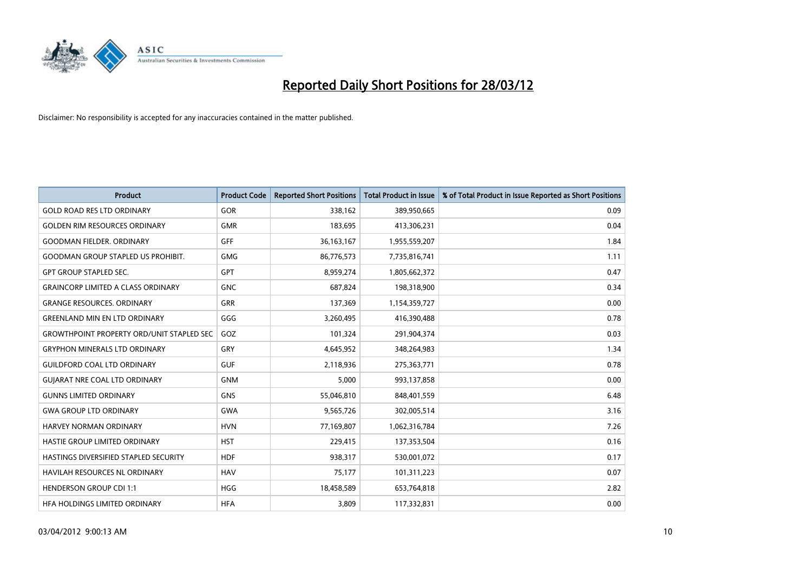

| <b>Product</b>                                   | <b>Product Code</b> | <b>Reported Short Positions</b> | <b>Total Product in Issue</b> | % of Total Product in Issue Reported as Short Positions |
|--------------------------------------------------|---------------------|---------------------------------|-------------------------------|---------------------------------------------------------|
| <b>GOLD ROAD RES LTD ORDINARY</b>                | <b>GOR</b>          | 338,162                         | 389,950,665                   | 0.09                                                    |
| <b>GOLDEN RIM RESOURCES ORDINARY</b>             | <b>GMR</b>          | 183,695                         | 413,306,231                   | 0.04                                                    |
| <b>GOODMAN FIELDER, ORDINARY</b>                 | GFF                 | 36, 163, 167                    | 1,955,559,207                 | 1.84                                                    |
| <b>GOODMAN GROUP STAPLED US PROHIBIT.</b>        | <b>GMG</b>          | 86,776,573                      | 7,735,816,741                 | 1.11                                                    |
| <b>GPT GROUP STAPLED SEC.</b>                    | GPT                 | 8,959,274                       | 1,805,662,372                 | 0.47                                                    |
| <b>GRAINCORP LIMITED A CLASS ORDINARY</b>        | <b>GNC</b>          | 687,824                         | 198,318,900                   | 0.34                                                    |
| <b>GRANGE RESOURCES, ORDINARY</b>                | <b>GRR</b>          | 137,369                         | 1,154,359,727                 | 0.00                                                    |
| <b>GREENLAND MIN EN LTD ORDINARY</b>             | GGG                 | 3,260,495                       | 416,390,488                   | 0.78                                                    |
| <b>GROWTHPOINT PROPERTY ORD/UNIT STAPLED SEC</b> | GOZ                 | 101,324                         | 291,904,374                   | 0.03                                                    |
| <b>GRYPHON MINERALS LTD ORDINARY</b>             | GRY                 | 4,645,952                       | 348,264,983                   | 1.34                                                    |
| <b>GUILDFORD COAL LTD ORDINARY</b>               | <b>GUF</b>          | 2,118,936                       | 275,363,771                   | 0.78                                                    |
| <b>GUIARAT NRE COAL LTD ORDINARY</b>             | <b>GNM</b>          | 5,000                           | 993,137,858                   | 0.00                                                    |
| <b>GUNNS LIMITED ORDINARY</b>                    | <b>GNS</b>          | 55,046,810                      | 848,401,559                   | 6.48                                                    |
| <b>GWA GROUP LTD ORDINARY</b>                    | <b>GWA</b>          | 9,565,726                       | 302,005,514                   | 3.16                                                    |
| HARVEY NORMAN ORDINARY                           | <b>HVN</b>          | 77,169,807                      | 1,062,316,784                 | 7.26                                                    |
| HASTIE GROUP LIMITED ORDINARY                    | <b>HST</b>          | 229,415                         | 137,353,504                   | 0.16                                                    |
| HASTINGS DIVERSIFIED STAPLED SECURITY            | <b>HDF</b>          | 938,317                         | 530,001,072                   | 0.17                                                    |
| HAVILAH RESOURCES NL ORDINARY                    | <b>HAV</b>          | 75,177                          | 101,311,223                   | 0.07                                                    |
| <b>HENDERSON GROUP CDI 1:1</b>                   | <b>HGG</b>          | 18,458,589                      | 653,764,818                   | 2.82                                                    |
| HFA HOLDINGS LIMITED ORDINARY                    | <b>HFA</b>          | 3,809                           | 117,332,831                   | 0.00                                                    |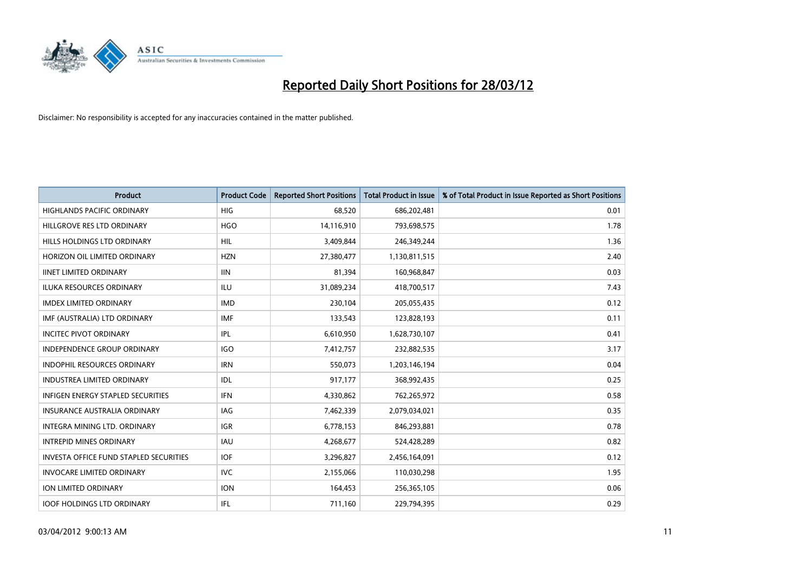

| <b>Product</b>                           | <b>Product Code</b> | <b>Reported Short Positions</b> | <b>Total Product in Issue</b> | % of Total Product in Issue Reported as Short Positions |
|------------------------------------------|---------------------|---------------------------------|-------------------------------|---------------------------------------------------------|
| <b>HIGHLANDS PACIFIC ORDINARY</b>        | <b>HIG</b>          | 68,520                          | 686,202,481                   | 0.01                                                    |
| HILLGROVE RES LTD ORDINARY               | <b>HGO</b>          | 14,116,910                      | 793,698,575                   | 1.78                                                    |
| HILLS HOLDINGS LTD ORDINARY              | <b>HIL</b>          | 3,409,844                       | 246,349,244                   | 1.36                                                    |
| HORIZON OIL LIMITED ORDINARY             | <b>HZN</b>          | 27,380,477                      | 1,130,811,515                 | 2.40                                                    |
| <b>IINET LIMITED ORDINARY</b>            | <b>IIN</b>          | 81,394                          | 160,968,847                   | 0.03                                                    |
| <b>ILUKA RESOURCES ORDINARY</b>          | <b>ILU</b>          | 31,089,234                      | 418,700,517                   | 7.43                                                    |
| <b>IMDEX LIMITED ORDINARY</b>            | <b>IMD</b>          | 230,104                         | 205,055,435                   | 0.12                                                    |
| IMF (AUSTRALIA) LTD ORDINARY             | <b>IMF</b>          | 133,543                         | 123,828,193                   | 0.11                                                    |
| <b>INCITEC PIVOT ORDINARY</b>            | <b>IPL</b>          | 6,610,950                       | 1,628,730,107                 | 0.41                                                    |
| <b>INDEPENDENCE GROUP ORDINARY</b>       | <b>IGO</b>          | 7,412,757                       | 232,882,535                   | 3.17                                                    |
| INDOPHIL RESOURCES ORDINARY              | <b>IRN</b>          | 550,073                         | 1,203,146,194                 | 0.04                                                    |
| <b>INDUSTREA LIMITED ORDINARY</b>        | IDL                 | 917,177                         | 368,992,435                   | 0.25                                                    |
| <b>INFIGEN ENERGY STAPLED SECURITIES</b> | <b>IFN</b>          | 4,330,862                       | 762,265,972                   | 0.58                                                    |
| <b>INSURANCE AUSTRALIA ORDINARY</b>      | IAG                 | 7,462,339                       | 2,079,034,021                 | 0.35                                                    |
| INTEGRA MINING LTD, ORDINARY             | <b>IGR</b>          | 6,778,153                       | 846,293,881                   | 0.78                                                    |
| <b>INTREPID MINES ORDINARY</b>           | <b>IAU</b>          | 4,268,677                       | 524,428,289                   | 0.82                                                    |
| INVESTA OFFICE FUND STAPLED SECURITIES   | <b>IOF</b>          | 3,296,827                       | 2,456,164,091                 | 0.12                                                    |
| <b>INVOCARE LIMITED ORDINARY</b>         | IVC.                | 2,155,066                       | 110,030,298                   | 1.95                                                    |
| <b>ION LIMITED ORDINARY</b>              | <b>ION</b>          | 164,453                         | 256,365,105                   | 0.06                                                    |
| <b>IOOF HOLDINGS LTD ORDINARY</b>        | IFL                 | 711,160                         | 229,794,395                   | 0.29                                                    |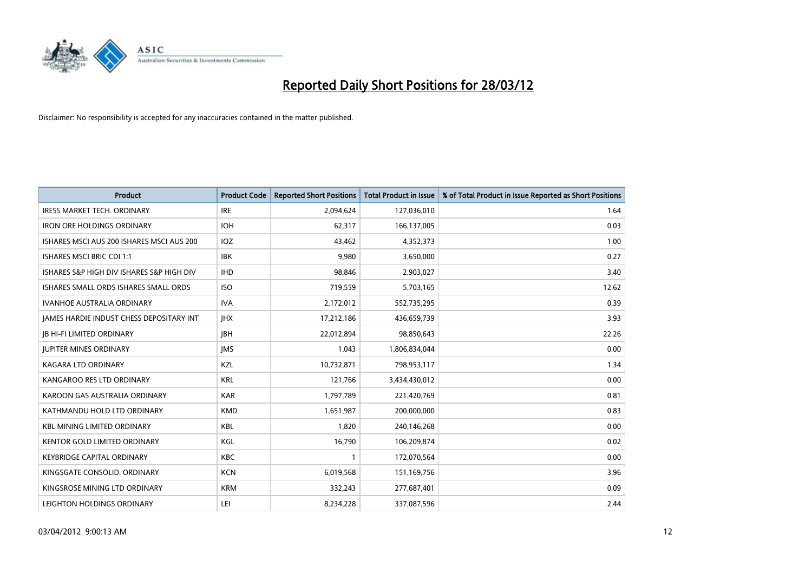

| <b>Product</b>                            | <b>Product Code</b> | <b>Reported Short Positions</b> | <b>Total Product in Issue</b> | % of Total Product in Issue Reported as Short Positions |
|-------------------------------------------|---------------------|---------------------------------|-------------------------------|---------------------------------------------------------|
| <b>IRESS MARKET TECH. ORDINARY</b>        | <b>IRE</b>          | 2,094,624                       | 127,036,010                   | 1.64                                                    |
| <b>IRON ORE HOLDINGS ORDINARY</b>         | <b>IOH</b>          | 62,317                          | 166,137,005                   | 0.03                                                    |
| ISHARES MSCI AUS 200 ISHARES MSCI AUS 200 | <b>IOZ</b>          | 43,462                          | 4,352,373                     | 1.00                                                    |
| <b>ISHARES MSCI BRIC CDI 1:1</b>          | <b>IBK</b>          | 9.980                           | 3,650,000                     | 0.27                                                    |
| ISHARES S&P HIGH DIV ISHARES S&P HIGH DIV | <b>IHD</b>          | 98,846                          | 2,903,027                     | 3.40                                                    |
| ISHARES SMALL ORDS ISHARES SMALL ORDS     | <b>ISO</b>          | 719,559                         | 5,703,165                     | 12.62                                                   |
| <b>IVANHOE AUSTRALIA ORDINARY</b>         | <b>IVA</b>          | 2,172,012                       | 552,735,295                   | 0.39                                                    |
| JAMES HARDIE INDUST CHESS DEPOSITARY INT  | <b>JHX</b>          | 17,212,186                      | 436,659,739                   | 3.93                                                    |
| <b>JB HI-FI LIMITED ORDINARY</b>          | <b>IBH</b>          | 22,012,894                      | 98,850,643                    | 22.26                                                   |
| <b>JUPITER MINES ORDINARY</b>             | <b>IMS</b>          | 1,043                           | 1,806,834,044                 | 0.00                                                    |
| KAGARA LTD ORDINARY                       | KZL                 | 10,732,871                      | 798,953,117                   | 1.34                                                    |
| KANGAROO RES LTD ORDINARY                 | <b>KRL</b>          | 121,766                         | 3,434,430,012                 | 0.00                                                    |
| KAROON GAS AUSTRALIA ORDINARY             | <b>KAR</b>          | 1,797,789                       | 221,420,769                   | 0.81                                                    |
| KATHMANDU HOLD LTD ORDINARY               | <b>KMD</b>          | 1,651,987                       | 200,000,000                   | 0.83                                                    |
| <b>KBL MINING LIMITED ORDINARY</b>        | <b>KBL</b>          | 1,820                           | 240,146,268                   | 0.00                                                    |
| <b>KENTOR GOLD LIMITED ORDINARY</b>       | KGL                 | 16,790                          | 106,209,874                   | 0.02                                                    |
| <b>KEYBRIDGE CAPITAL ORDINARY</b>         | KBC                 | 1                               | 172,070,564                   | 0.00                                                    |
| KINGSGATE CONSOLID, ORDINARY              | <b>KCN</b>          | 6,019,568                       | 151,169,756                   | 3.96                                                    |
| KINGSROSE MINING LTD ORDINARY             | <b>KRM</b>          | 332,243                         | 277,687,401                   | 0.09                                                    |
| LEIGHTON HOLDINGS ORDINARY                | LEI                 | 8,234,228                       | 337,087,596                   | 2.44                                                    |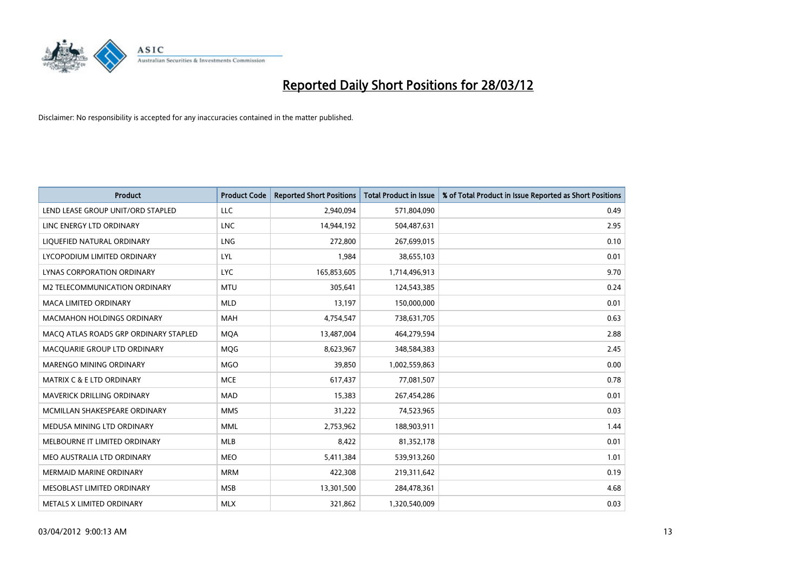

| <b>Product</b>                        | <b>Product Code</b> | <b>Reported Short Positions</b> | <b>Total Product in Issue</b> | % of Total Product in Issue Reported as Short Positions |
|---------------------------------------|---------------------|---------------------------------|-------------------------------|---------------------------------------------------------|
| LEND LEASE GROUP UNIT/ORD STAPLED     | <b>LLC</b>          | 2,940,094                       | 571,804,090                   | 0.49                                                    |
| LINC ENERGY LTD ORDINARY              | <b>LNC</b>          | 14,944,192                      | 504,487,631                   | 2.95                                                    |
| LIQUEFIED NATURAL ORDINARY            | <b>LNG</b>          | 272,800                         | 267,699,015                   | 0.10                                                    |
| LYCOPODIUM LIMITED ORDINARY           | LYL                 | 1,984                           | 38,655,103                    | 0.01                                                    |
| LYNAS CORPORATION ORDINARY            | <b>LYC</b>          | 165,853,605                     | 1,714,496,913                 | 9.70                                                    |
| <b>M2 TELECOMMUNICATION ORDINARY</b>  | <b>MTU</b>          | 305,641                         | 124,543,385                   | 0.24                                                    |
| <b>MACA LIMITED ORDINARY</b>          | <b>MLD</b>          | 13,197                          | 150,000,000                   | 0.01                                                    |
| MACMAHON HOLDINGS ORDINARY            | MAH                 | 4,754,547                       | 738,631,705                   | 0.63                                                    |
| MACO ATLAS ROADS GRP ORDINARY STAPLED | <b>MOA</b>          | 13,487,004                      | 464,279,594                   | 2.88                                                    |
| MACQUARIE GROUP LTD ORDINARY          | <b>MOG</b>          | 8,623,967                       | 348,584,383                   | 2.45                                                    |
| MARENGO MINING ORDINARY               | <b>MGO</b>          | 39,850                          | 1,002,559,863                 | 0.00                                                    |
| <b>MATRIX C &amp; E LTD ORDINARY</b>  | <b>MCE</b>          | 617,437                         | 77,081,507                    | 0.78                                                    |
| <b>MAVERICK DRILLING ORDINARY</b>     | <b>MAD</b>          | 15,383                          | 267,454,286                   | 0.01                                                    |
| MCMILLAN SHAKESPEARE ORDINARY         | <b>MMS</b>          | 31,222                          | 74,523,965                    | 0.03                                                    |
| MEDUSA MINING LTD ORDINARY            | <b>MML</b>          | 2,753,962                       | 188,903,911                   | 1.44                                                    |
| MELBOURNE IT LIMITED ORDINARY         | MLB                 | 8,422                           | 81,352,178                    | 0.01                                                    |
| MEO AUSTRALIA LTD ORDINARY            | <b>MEO</b>          | 5,411,384                       | 539,913,260                   | 1.01                                                    |
| <b>MERMAID MARINE ORDINARY</b>        | <b>MRM</b>          | 422,308                         | 219,311,642                   | 0.19                                                    |
| MESOBLAST LIMITED ORDINARY            | <b>MSB</b>          | 13,301,500                      | 284,478,361                   | 4.68                                                    |
| METALS X LIMITED ORDINARY             | <b>MLX</b>          | 321,862                         | 1,320,540,009                 | 0.03                                                    |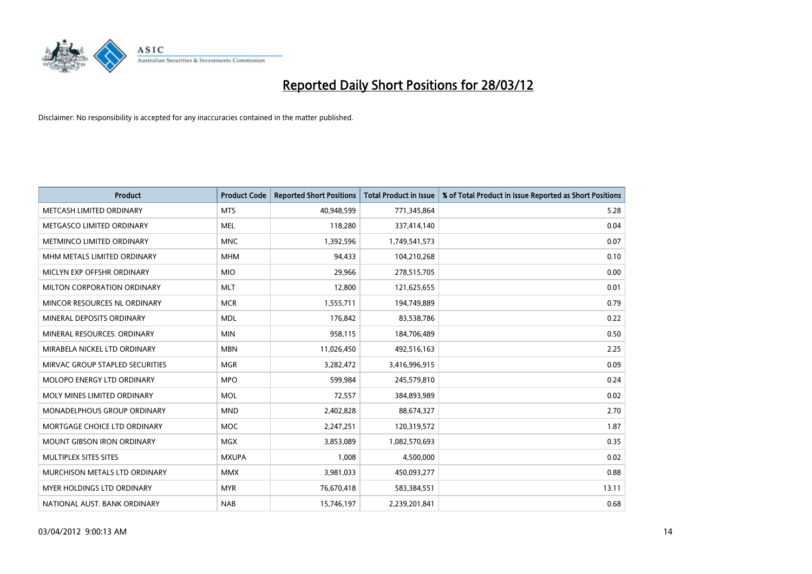

| <b>Product</b>                     | <b>Product Code</b> | <b>Reported Short Positions</b> | <b>Total Product in Issue</b> | % of Total Product in Issue Reported as Short Positions |
|------------------------------------|---------------------|---------------------------------|-------------------------------|---------------------------------------------------------|
| METCASH LIMITED ORDINARY           | <b>MTS</b>          | 40,948,599                      | 771,345,864                   | 5.28                                                    |
| METGASCO LIMITED ORDINARY          | MEL                 | 118,280                         | 337,414,140                   | 0.04                                                    |
| METMINCO LIMITED ORDINARY          | <b>MNC</b>          | 1,392,596                       | 1,749,541,573                 | 0.07                                                    |
| MHM METALS LIMITED ORDINARY        | <b>MHM</b>          | 94,433                          | 104,210,268                   | 0.10                                                    |
| MICLYN EXP OFFSHR ORDINARY         | <b>MIO</b>          | 29,966                          | 278,515,705                   | 0.00                                                    |
| MILTON CORPORATION ORDINARY        | <b>MLT</b>          | 12,800                          | 121,625,655                   | 0.01                                                    |
| MINCOR RESOURCES NL ORDINARY       | <b>MCR</b>          | 1,555,711                       | 194,749,889                   | 0.79                                                    |
| MINERAL DEPOSITS ORDINARY          | <b>MDL</b>          | 176,842                         | 83,538,786                    | 0.22                                                    |
| MINERAL RESOURCES, ORDINARY        | <b>MIN</b>          | 958,115                         | 184,706,489                   | 0.50                                                    |
| MIRABELA NICKEL LTD ORDINARY       | <b>MBN</b>          | 11,026,450                      | 492,516,163                   | 2.25                                                    |
| MIRVAC GROUP STAPLED SECURITIES    | <b>MGR</b>          | 3,282,472                       | 3,416,996,915                 | 0.09                                                    |
| MOLOPO ENERGY LTD ORDINARY         | <b>MPO</b>          | 599,984                         | 245,579,810                   | 0.24                                                    |
| MOLY MINES LIMITED ORDINARY        | <b>MOL</b>          | 72,557                          | 384,893,989                   | 0.02                                                    |
| <b>MONADELPHOUS GROUP ORDINARY</b> | <b>MND</b>          | 2,402,828                       | 88,674,327                    | 2.70                                                    |
| MORTGAGE CHOICE LTD ORDINARY       | <b>MOC</b>          | 2,247,251                       | 120,319,572                   | 1.87                                                    |
| MOUNT GIBSON IRON ORDINARY         | MGX                 | 3,853,089                       | 1,082,570,693                 | 0.35                                                    |
| MULTIPLEX SITES SITES              | <b>MXUPA</b>        | 1,008                           | 4,500,000                     | 0.02                                                    |
| MURCHISON METALS LTD ORDINARY      | <b>MMX</b>          | 3,981,033                       | 450,093,277                   | 0.88                                                    |
| <b>MYER HOLDINGS LTD ORDINARY</b>  | <b>MYR</b>          | 76,670,418                      | 583,384,551                   | 13.11                                                   |
| NATIONAL AUST. BANK ORDINARY       | <b>NAB</b>          | 15,746,197                      | 2,239,201,841                 | 0.68                                                    |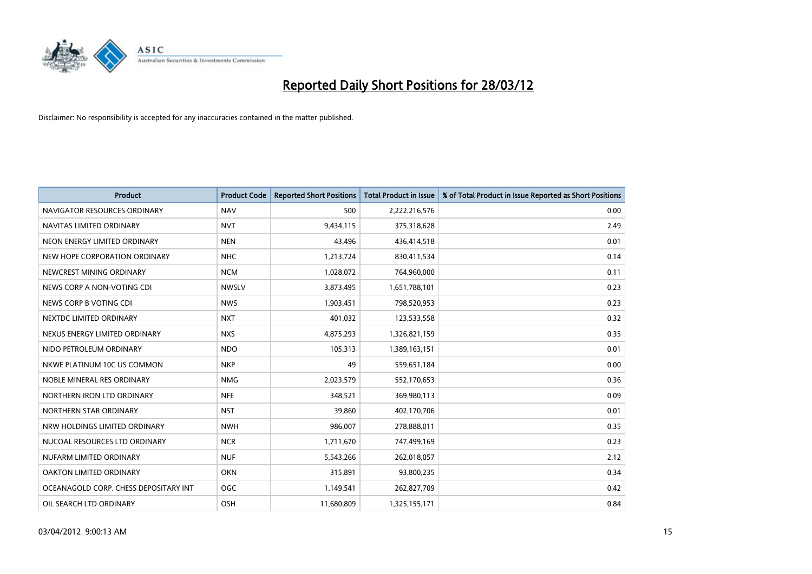

| <b>Product</b>                        | <b>Product Code</b> | <b>Reported Short Positions</b> | <b>Total Product in Issue</b> | % of Total Product in Issue Reported as Short Positions |
|---------------------------------------|---------------------|---------------------------------|-------------------------------|---------------------------------------------------------|
| NAVIGATOR RESOURCES ORDINARY          | <b>NAV</b>          | 500                             | 2,222,216,576                 | 0.00                                                    |
| NAVITAS LIMITED ORDINARY              | <b>NVT</b>          | 9,434,115                       | 375,318,628                   | 2.49                                                    |
| NEON ENERGY LIMITED ORDINARY          | <b>NEN</b>          | 43,496                          | 436,414,518                   | 0.01                                                    |
| NEW HOPE CORPORATION ORDINARY         | <b>NHC</b>          | 1,213,724                       | 830,411,534                   | 0.14                                                    |
| NEWCREST MINING ORDINARY              | <b>NCM</b>          | 1,028,072                       | 764,960,000                   | 0.11                                                    |
| NEWS CORP A NON-VOTING CDI            | <b>NWSLV</b>        | 3,873,495                       | 1,651,788,101                 | 0.23                                                    |
| NEWS CORP B VOTING CDI                | <b>NWS</b>          | 1,903,451                       | 798,520,953                   | 0.23                                                    |
| NEXTDC LIMITED ORDINARY               | <b>NXT</b>          | 401,032                         | 123,533,558                   | 0.32                                                    |
| NEXUS ENERGY LIMITED ORDINARY         | <b>NXS</b>          | 4,875,293                       | 1,326,821,159                 | 0.35                                                    |
| NIDO PETROLEUM ORDINARY               | <b>NDO</b>          | 105,313                         | 1,389,163,151                 | 0.01                                                    |
| NKWE PLATINUM 10C US COMMON           | <b>NKP</b>          | 49                              | 559,651,184                   | 0.00                                                    |
| NOBLE MINERAL RES ORDINARY            | <b>NMG</b>          | 2,023,579                       | 552,170,653                   | 0.36                                                    |
| NORTHERN IRON LTD ORDINARY            | <b>NFE</b>          | 348,521                         | 369,980,113                   | 0.09                                                    |
| NORTHERN STAR ORDINARY                | <b>NST</b>          | 39,860                          | 402,170,706                   | 0.01                                                    |
| NRW HOLDINGS LIMITED ORDINARY         | <b>NWH</b>          | 986,007                         | 278,888,011                   | 0.35                                                    |
| NUCOAL RESOURCES LTD ORDINARY         | <b>NCR</b>          | 1,711,670                       | 747,499,169                   | 0.23                                                    |
| NUFARM LIMITED ORDINARY               | <b>NUF</b>          | 5,543,266                       | 262,018,057                   | 2.12                                                    |
| OAKTON LIMITED ORDINARY               | <b>OKN</b>          | 315,891                         | 93,800,235                    | 0.34                                                    |
| OCEANAGOLD CORP. CHESS DEPOSITARY INT | <b>OGC</b>          | 1,149,541                       | 262,827,709                   | 0.42                                                    |
| OIL SEARCH LTD ORDINARY               | OSH                 | 11,680,809                      | 1,325,155,171                 | 0.84                                                    |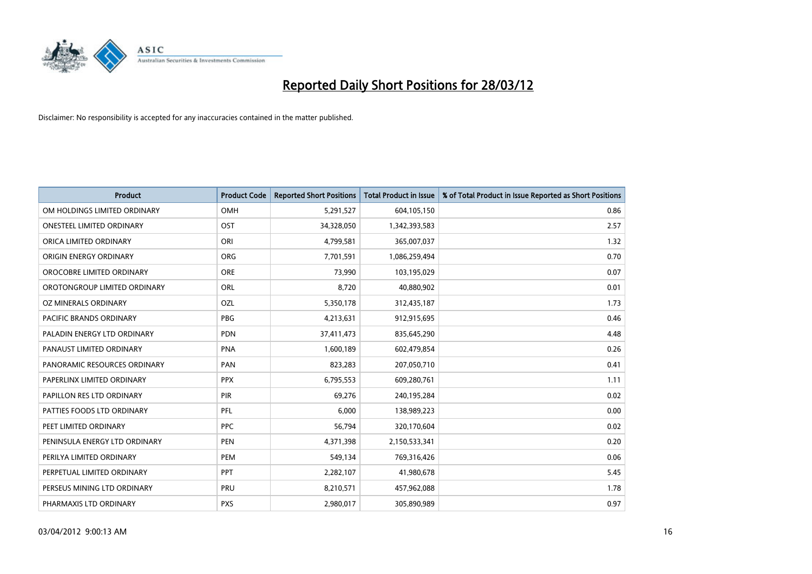

| <b>Product</b>                | <b>Product Code</b> | <b>Reported Short Positions</b> | <b>Total Product in Issue</b> | % of Total Product in Issue Reported as Short Positions |
|-------------------------------|---------------------|---------------------------------|-------------------------------|---------------------------------------------------------|
| OM HOLDINGS LIMITED ORDINARY  | OMH                 | 5,291,527                       | 604,105,150                   | 0.86                                                    |
| ONESTEEL LIMITED ORDINARY     | OST                 | 34,328,050                      | 1,342,393,583                 | 2.57                                                    |
| ORICA LIMITED ORDINARY        | ORI                 | 4,799,581                       | 365,007,037                   | 1.32                                                    |
| ORIGIN ENERGY ORDINARY        | <b>ORG</b>          | 7,701,591                       | 1,086,259,494                 | 0.70                                                    |
| OROCOBRE LIMITED ORDINARY     | <b>ORE</b>          | 73,990                          | 103,195,029                   | 0.07                                                    |
| OROTONGROUP LIMITED ORDINARY  | ORL                 | 8,720                           | 40,880,902                    | 0.01                                                    |
| OZ MINERALS ORDINARY          | OZL                 | 5,350,178                       | 312,435,187                   | 1.73                                                    |
| PACIFIC BRANDS ORDINARY       | <b>PBG</b>          | 4,213,631                       | 912,915,695                   | 0.46                                                    |
| PALADIN ENERGY LTD ORDINARY   | <b>PDN</b>          | 37,411,473                      | 835,645,290                   | 4.48                                                    |
| PANAUST LIMITED ORDINARY      | <b>PNA</b>          | 1,600,189                       | 602,479,854                   | 0.26                                                    |
| PANORAMIC RESOURCES ORDINARY  | PAN                 | 823,283                         | 207,050,710                   | 0.41                                                    |
| PAPERLINX LIMITED ORDINARY    | <b>PPX</b>          | 6,795,553                       | 609,280,761                   | 1.11                                                    |
| PAPILLON RES LTD ORDINARY     | PIR                 | 69,276                          | 240,195,284                   | 0.02                                                    |
| PATTIES FOODS LTD ORDINARY    | PFL                 | 6,000                           | 138,989,223                   | 0.00                                                    |
| PEET LIMITED ORDINARY         | <b>PPC</b>          | 56,794                          | 320,170,604                   | 0.02                                                    |
| PENINSULA ENERGY LTD ORDINARY | <b>PEN</b>          | 4,371,398                       | 2,150,533,341                 | 0.20                                                    |
| PERILYA LIMITED ORDINARY      | PEM                 | 549,134                         | 769,316,426                   | 0.06                                                    |
| PERPETUAL LIMITED ORDINARY    | <b>PPT</b>          | 2,282,107                       | 41,980,678                    | 5.45                                                    |
| PERSEUS MINING LTD ORDINARY   | PRU                 | 8,210,571                       | 457,962,088                   | 1.78                                                    |
| PHARMAXIS LTD ORDINARY        | <b>PXS</b>          | 2,980,017                       | 305,890,989                   | 0.97                                                    |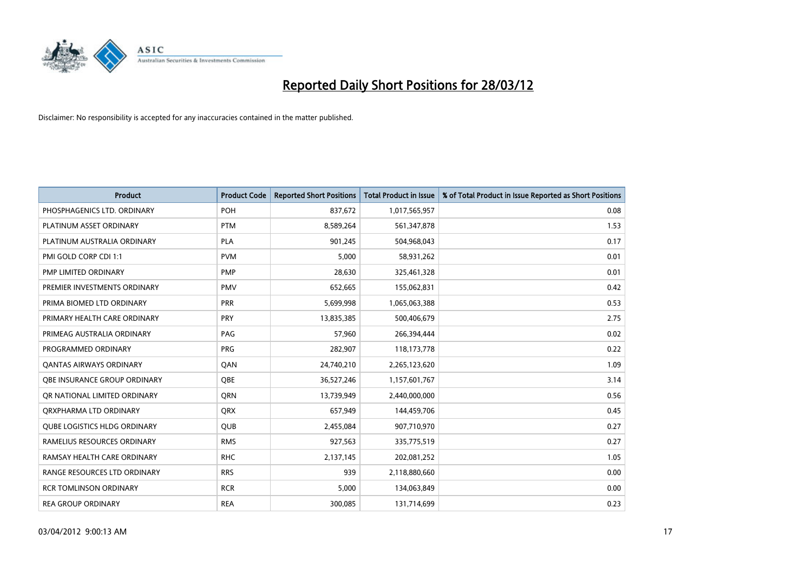

| <b>Product</b>                      | <b>Product Code</b> | <b>Reported Short Positions</b> | <b>Total Product in Issue</b> | % of Total Product in Issue Reported as Short Positions |
|-------------------------------------|---------------------|---------------------------------|-------------------------------|---------------------------------------------------------|
| PHOSPHAGENICS LTD. ORDINARY         | <b>POH</b>          | 837,672                         | 1,017,565,957                 | 0.08                                                    |
| PLATINUM ASSET ORDINARY             | <b>PTM</b>          | 8,589,264                       | 561,347,878                   | 1.53                                                    |
| PLATINUM AUSTRALIA ORDINARY         | <b>PLA</b>          | 901,245                         | 504,968,043                   | 0.17                                                    |
| PMI GOLD CORP CDI 1:1               | <b>PVM</b>          | 5,000                           | 58,931,262                    | 0.01                                                    |
| PMP LIMITED ORDINARY                | <b>PMP</b>          | 28,630                          | 325,461,328                   | 0.01                                                    |
| PREMIER INVESTMENTS ORDINARY        | <b>PMV</b>          | 652,665                         | 155,062,831                   | 0.42                                                    |
| PRIMA BIOMED LTD ORDINARY           | <b>PRR</b>          | 5,699,998                       | 1,065,063,388                 | 0.53                                                    |
| PRIMARY HEALTH CARE ORDINARY        | <b>PRY</b>          | 13,835,385                      | 500,406,679                   | 2.75                                                    |
| PRIMEAG AUSTRALIA ORDINARY          | PAG                 | 57,960                          | 266,394,444                   | 0.02                                                    |
| PROGRAMMED ORDINARY                 | <b>PRG</b>          | 282,907                         | 118,173,778                   | 0.22                                                    |
| <b>QANTAS AIRWAYS ORDINARY</b>      | QAN                 | 24,740,210                      | 2,265,123,620                 | 1.09                                                    |
| <b>OBE INSURANCE GROUP ORDINARY</b> | <b>OBE</b>          | 36,527,246                      | 1,157,601,767                 | 3.14                                                    |
| OR NATIONAL LIMITED ORDINARY        | <b>ORN</b>          | 13,739,949                      | 2,440,000,000                 | 0.56                                                    |
| ORXPHARMA LTD ORDINARY              | <b>QRX</b>          | 657,949                         | 144,459,706                   | 0.45                                                    |
| <b>QUBE LOGISTICS HLDG ORDINARY</b> | <b>QUB</b>          | 2,455,084                       | 907,710,970                   | 0.27                                                    |
| RAMELIUS RESOURCES ORDINARY         | <b>RMS</b>          | 927,563                         | 335,775,519                   | 0.27                                                    |
| RAMSAY HEALTH CARE ORDINARY         | <b>RHC</b>          | 2,137,145                       | 202,081,252                   | 1.05                                                    |
| RANGE RESOURCES LTD ORDINARY        | <b>RRS</b>          | 939                             | 2,118,880,660                 | 0.00                                                    |
| <b>RCR TOMLINSON ORDINARY</b>       | <b>RCR</b>          | 5,000                           | 134,063,849                   | 0.00                                                    |
| <b>REA GROUP ORDINARY</b>           | <b>REA</b>          | 300,085                         | 131,714,699                   | 0.23                                                    |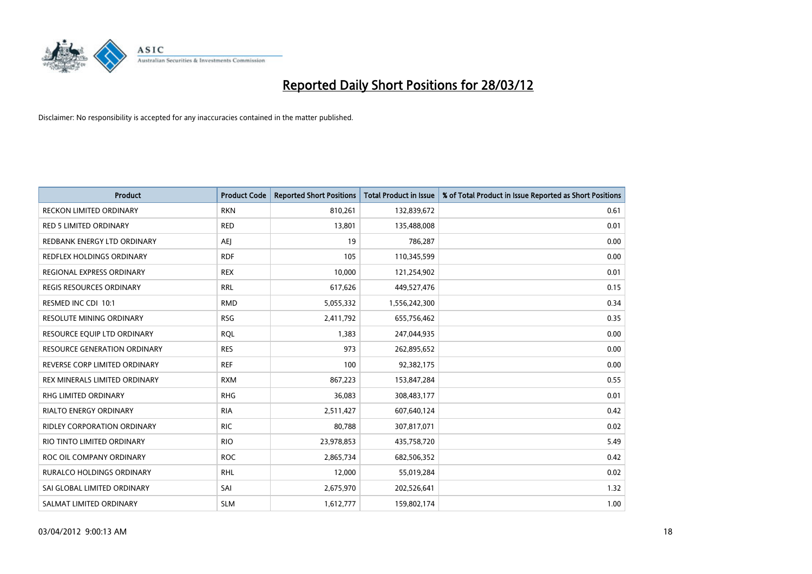

| <b>Product</b>                      | <b>Product Code</b> | <b>Reported Short Positions</b> | <b>Total Product in Issue</b> | % of Total Product in Issue Reported as Short Positions |
|-------------------------------------|---------------------|---------------------------------|-------------------------------|---------------------------------------------------------|
| <b>RECKON LIMITED ORDINARY</b>      | <b>RKN</b>          | 810,261                         | 132,839,672                   | 0.61                                                    |
| <b>RED 5 LIMITED ORDINARY</b>       | <b>RED</b>          | 13,801                          | 135,488,008                   | 0.01                                                    |
| REDBANK ENERGY LTD ORDINARY         | AEJ                 | 19                              | 786,287                       | 0.00                                                    |
| REDFLEX HOLDINGS ORDINARY           | <b>RDF</b>          | 105                             | 110,345,599                   | 0.00                                                    |
| REGIONAL EXPRESS ORDINARY           | <b>REX</b>          | 10,000                          | 121,254,902                   | 0.01                                                    |
| <b>REGIS RESOURCES ORDINARY</b>     | <b>RRL</b>          | 617,626                         | 449,527,476                   | 0.15                                                    |
| RESMED INC CDI 10:1                 | <b>RMD</b>          | 5,055,332                       | 1,556,242,300                 | 0.34                                                    |
| RESOLUTE MINING ORDINARY            | <b>RSG</b>          | 2,411,792                       | 655,756,462                   | 0.35                                                    |
| RESOURCE EQUIP LTD ORDINARY         | <b>RQL</b>          | 1,383                           | 247,044,935                   | 0.00                                                    |
| <b>RESOURCE GENERATION ORDINARY</b> | <b>RES</b>          | 973                             | 262,895,652                   | 0.00                                                    |
| REVERSE CORP LIMITED ORDINARY       | <b>REF</b>          | 100                             | 92,382,175                    | 0.00                                                    |
| REX MINERALS LIMITED ORDINARY       | <b>RXM</b>          | 867,223                         | 153,847,284                   | 0.55                                                    |
| RHG LIMITED ORDINARY                | <b>RHG</b>          | 36,083                          | 308,483,177                   | 0.01                                                    |
| <b>RIALTO ENERGY ORDINARY</b>       | <b>RIA</b>          | 2,511,427                       | 607,640,124                   | 0.42                                                    |
| <b>RIDLEY CORPORATION ORDINARY</b>  | <b>RIC</b>          | 80,788                          | 307,817,071                   | 0.02                                                    |
| RIO TINTO LIMITED ORDINARY          | <b>RIO</b>          | 23,978,853                      | 435,758,720                   | 5.49                                                    |
| ROC OIL COMPANY ORDINARY            | <b>ROC</b>          | 2,865,734                       | 682,506,352                   | 0.42                                                    |
| RURALCO HOLDINGS ORDINARY           | <b>RHL</b>          | 12,000                          | 55,019,284                    | 0.02                                                    |
| SAI GLOBAL LIMITED ORDINARY         | SAI                 | 2,675,970                       | 202,526,641                   | 1.32                                                    |
| SALMAT LIMITED ORDINARY             | <b>SLM</b>          | 1,612,777                       | 159,802,174                   | 1.00                                                    |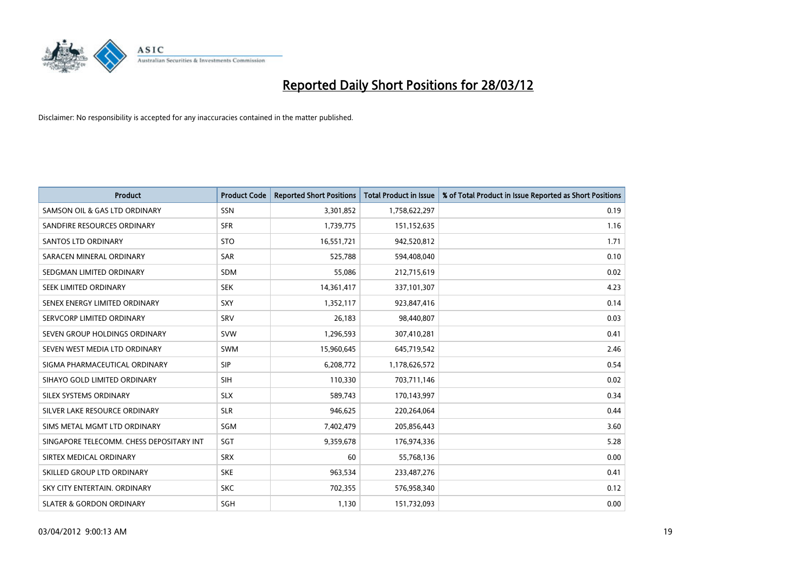

| <b>Product</b>                           | <b>Product Code</b> | <b>Reported Short Positions</b> | <b>Total Product in Issue</b> | % of Total Product in Issue Reported as Short Positions |
|------------------------------------------|---------------------|---------------------------------|-------------------------------|---------------------------------------------------------|
| SAMSON OIL & GAS LTD ORDINARY            | SSN                 | 3,301,852                       | 1,758,622,297                 | 0.19                                                    |
| SANDFIRE RESOURCES ORDINARY              | <b>SFR</b>          | 1,739,775                       | 151,152,635                   | 1.16                                                    |
| SANTOS LTD ORDINARY                      | <b>STO</b>          | 16,551,721                      | 942,520,812                   | 1.71                                                    |
| SARACEN MINERAL ORDINARY                 | <b>SAR</b>          | 525,788                         | 594,408,040                   | 0.10                                                    |
| SEDGMAN LIMITED ORDINARY                 | <b>SDM</b>          | 55,086                          | 212,715,619                   | 0.02                                                    |
| SEEK LIMITED ORDINARY                    | <b>SEK</b>          | 14,361,417                      | 337,101,307                   | 4.23                                                    |
| SENEX ENERGY LIMITED ORDINARY            | <b>SXY</b>          | 1,352,117                       | 923,847,416                   | 0.14                                                    |
| SERVCORP LIMITED ORDINARY                | SRV                 | 26,183                          | 98,440,807                    | 0.03                                                    |
| SEVEN GROUP HOLDINGS ORDINARY            | <b>SVW</b>          | 1,296,593                       | 307,410,281                   | 0.41                                                    |
| SEVEN WEST MEDIA LTD ORDINARY            | <b>SWM</b>          | 15,960,645                      | 645,719,542                   | 2.46                                                    |
| SIGMA PHARMACEUTICAL ORDINARY            | <b>SIP</b>          | 6,208,772                       | 1,178,626,572                 | 0.54                                                    |
| SIHAYO GOLD LIMITED ORDINARY             | <b>SIH</b>          | 110,330                         | 703,711,146                   | 0.02                                                    |
| SILEX SYSTEMS ORDINARY                   | <b>SLX</b>          | 589,743                         | 170,143,997                   | 0.34                                                    |
| SILVER LAKE RESOURCE ORDINARY            | <b>SLR</b>          | 946,625                         | 220,264,064                   | 0.44                                                    |
| SIMS METAL MGMT LTD ORDINARY             | SGM                 | 7,402,479                       | 205,856,443                   | 3.60                                                    |
| SINGAPORE TELECOMM. CHESS DEPOSITARY INT | SGT                 | 9,359,678                       | 176,974,336                   | 5.28                                                    |
| SIRTEX MEDICAL ORDINARY                  | <b>SRX</b>          | 60                              | 55,768,136                    | 0.00                                                    |
| SKILLED GROUP LTD ORDINARY               | <b>SKE</b>          | 963,534                         | 233,487,276                   | 0.41                                                    |
| SKY CITY ENTERTAIN, ORDINARY             | <b>SKC</b>          | 702,355                         | 576,958,340                   | 0.12                                                    |
| <b>SLATER &amp; GORDON ORDINARY</b>      | SGH                 | 1,130                           | 151,732,093                   | 0.00                                                    |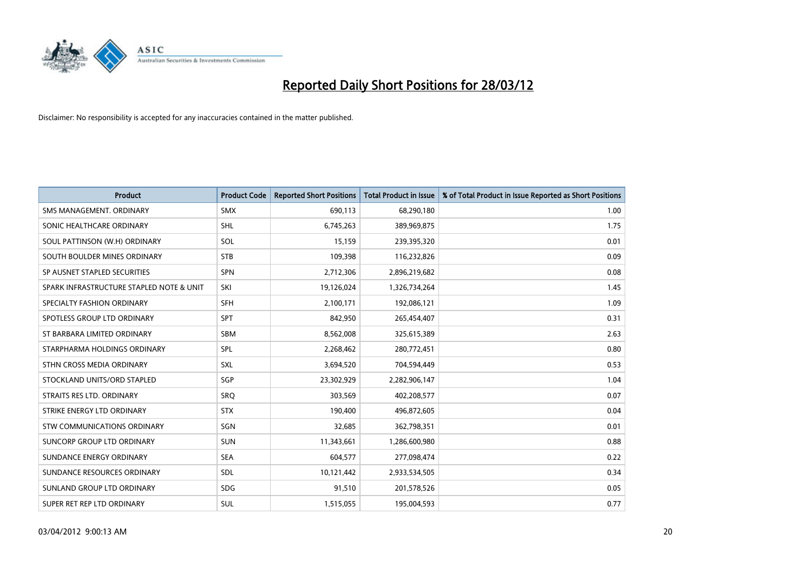

| <b>Product</b>                           | <b>Product Code</b> | <b>Reported Short Positions</b> | <b>Total Product in Issue</b> | % of Total Product in Issue Reported as Short Positions |
|------------------------------------------|---------------------|---------------------------------|-------------------------------|---------------------------------------------------------|
| SMS MANAGEMENT, ORDINARY                 | <b>SMX</b>          | 690,113                         | 68,290,180                    | 1.00                                                    |
| SONIC HEALTHCARE ORDINARY                | <b>SHL</b>          | 6,745,263                       | 389,969,875                   | 1.75                                                    |
| SOUL PATTINSON (W.H) ORDINARY            | SOL                 | 15,159                          | 239,395,320                   | 0.01                                                    |
| SOUTH BOULDER MINES ORDINARY             | <b>STB</b>          | 109,398                         | 116,232,826                   | 0.09                                                    |
| SP AUSNET STAPLED SECURITIES             | <b>SPN</b>          | 2,712,306                       | 2,896,219,682                 | 0.08                                                    |
| SPARK INFRASTRUCTURE STAPLED NOTE & UNIT | SKI                 | 19,126,024                      | 1,326,734,264                 | 1.45                                                    |
| SPECIALTY FASHION ORDINARY               | SFH                 | 2,100,171                       | 192,086,121                   | 1.09                                                    |
| SPOTLESS GROUP LTD ORDINARY              | <b>SPT</b>          | 842,950                         | 265,454,407                   | 0.31                                                    |
| ST BARBARA LIMITED ORDINARY              | <b>SBM</b>          | 8,562,008                       | 325,615,389                   | 2.63                                                    |
| STARPHARMA HOLDINGS ORDINARY             | <b>SPL</b>          | 2,268,462                       | 280,772,451                   | 0.80                                                    |
| STHN CROSS MEDIA ORDINARY                | <b>SXL</b>          | 3,694,520                       | 704,594,449                   | 0.53                                                    |
| STOCKLAND UNITS/ORD STAPLED              | SGP                 | 23,302,929                      | 2,282,906,147                 | 1.04                                                    |
| STRAITS RES LTD. ORDINARY                | SRO                 | 303,569                         | 402,208,577                   | 0.07                                                    |
| STRIKE ENERGY LTD ORDINARY               | <b>STX</b>          | 190,400                         | 496,872,605                   | 0.04                                                    |
| STW COMMUNICATIONS ORDINARY              | SGN                 | 32,685                          | 362,798,351                   | 0.01                                                    |
| SUNCORP GROUP LTD ORDINARY               | <b>SUN</b>          | 11,343,661                      | 1,286,600,980                 | 0.88                                                    |
| SUNDANCE ENERGY ORDINARY                 | <b>SEA</b>          | 604,577                         | 277,098,474                   | 0.22                                                    |
| SUNDANCE RESOURCES ORDINARY              | <b>SDL</b>          | 10,121,442                      | 2,933,534,505                 | 0.34                                                    |
| SUNLAND GROUP LTD ORDINARY               | <b>SDG</b>          | 91,510                          | 201,578,526                   | 0.05                                                    |
| SUPER RET REP LTD ORDINARY               | <b>SUL</b>          | 1,515,055                       | 195,004,593                   | 0.77                                                    |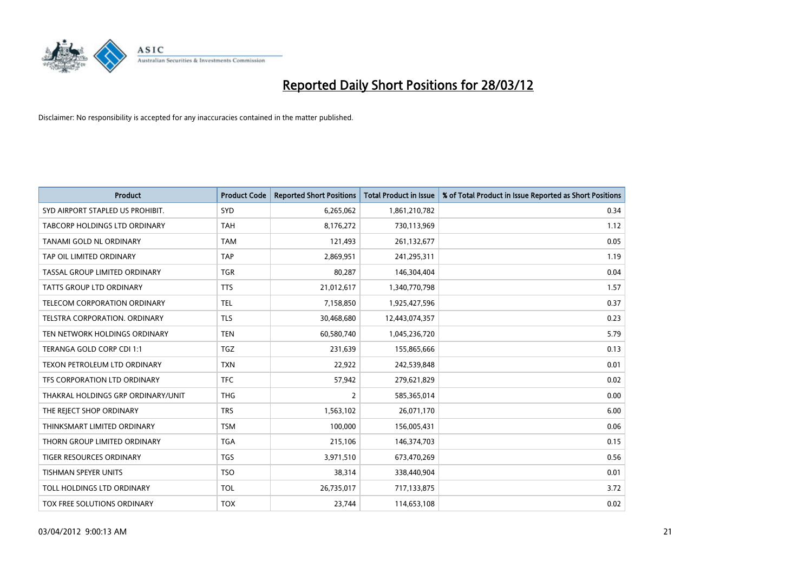

| Product                             | <b>Product Code</b> | <b>Reported Short Positions</b> | <b>Total Product in Issue</b> | % of Total Product in Issue Reported as Short Positions |
|-------------------------------------|---------------------|---------------------------------|-------------------------------|---------------------------------------------------------|
| SYD AIRPORT STAPLED US PROHIBIT.    | <b>SYD</b>          | 6,265,062                       | 1,861,210,782                 | 0.34                                                    |
| TABCORP HOLDINGS LTD ORDINARY       | <b>TAH</b>          | 8,176,272                       | 730,113,969                   | 1.12                                                    |
| TANAMI GOLD NL ORDINARY             | <b>TAM</b>          | 121,493                         | 261,132,677                   | 0.05                                                    |
| TAP OIL LIMITED ORDINARY            | <b>TAP</b>          | 2,869,951                       | 241,295,311                   | 1.19                                                    |
| TASSAL GROUP LIMITED ORDINARY       | <b>TGR</b>          | 80,287                          | 146,304,404                   | 0.04                                                    |
| <b>TATTS GROUP LTD ORDINARY</b>     | <b>TTS</b>          | 21,012,617                      | 1,340,770,798                 | 1.57                                                    |
| <b>TELECOM CORPORATION ORDINARY</b> | <b>TEL</b>          | 7,158,850                       | 1,925,427,596                 | 0.37                                                    |
| TELSTRA CORPORATION, ORDINARY       | <b>TLS</b>          | 30,468,680                      | 12,443,074,357                | 0.23                                                    |
| TEN NETWORK HOLDINGS ORDINARY       | <b>TEN</b>          | 60,580,740                      | 1,045,236,720                 | 5.79                                                    |
| TERANGA GOLD CORP CDI 1:1           | <b>TGZ</b>          | 231,639                         | 155,865,666                   | 0.13                                                    |
| TEXON PETROLEUM LTD ORDINARY        | <b>TXN</b>          | 22,922                          | 242,539,848                   | 0.01                                                    |
| TFS CORPORATION LTD ORDINARY        | <b>TFC</b>          | 57,942                          | 279,621,829                   | 0.02                                                    |
| THAKRAL HOLDINGS GRP ORDINARY/UNIT  | <b>THG</b>          | $\overline{2}$                  | 585,365,014                   | 0.00                                                    |
| THE REJECT SHOP ORDINARY            | <b>TRS</b>          | 1,563,102                       | 26,071,170                    | 6.00                                                    |
| THINKSMART LIMITED ORDINARY         | <b>TSM</b>          | 100,000                         | 156,005,431                   | 0.06                                                    |
| THORN GROUP LIMITED ORDINARY        | <b>TGA</b>          | 215,106                         | 146,374,703                   | 0.15                                                    |
| <b>TIGER RESOURCES ORDINARY</b>     | <b>TGS</b>          | 3,971,510                       | 673,470,269                   | 0.56                                                    |
| <b>TISHMAN SPEYER UNITS</b>         | <b>TSO</b>          | 38,314                          | 338,440,904                   | 0.01                                                    |
| TOLL HOLDINGS LTD ORDINARY          | <b>TOL</b>          | 26,735,017                      | 717,133,875                   | 3.72                                                    |
| TOX FREE SOLUTIONS ORDINARY         | <b>TOX</b>          | 23,744                          | 114,653,108                   | 0.02                                                    |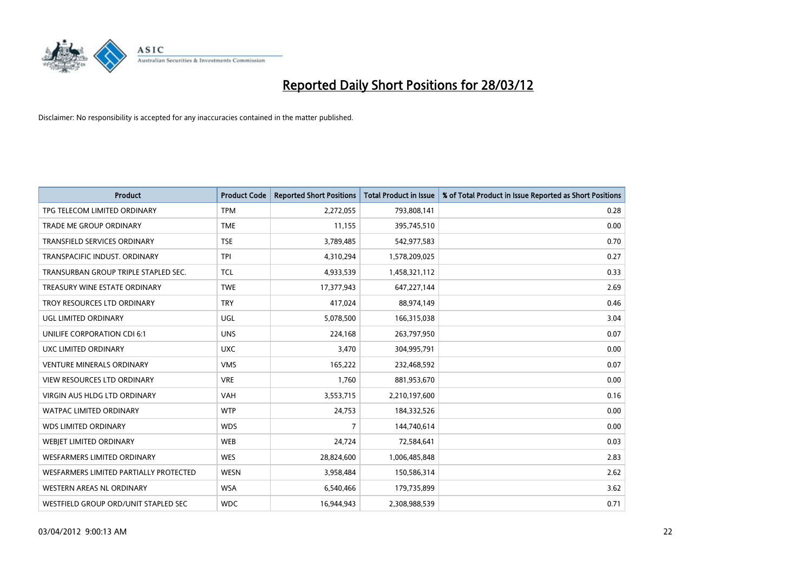

| <b>Product</b>                         | <b>Product Code</b> | <b>Reported Short Positions</b> | <b>Total Product in Issue</b> | % of Total Product in Issue Reported as Short Positions |
|----------------------------------------|---------------------|---------------------------------|-------------------------------|---------------------------------------------------------|
| TPG TELECOM LIMITED ORDINARY           | <b>TPM</b>          | 2,272,055                       | 793,808,141                   | 0.28                                                    |
| TRADE ME GROUP ORDINARY                | <b>TME</b>          | 11,155                          | 395,745,510                   | 0.00                                                    |
| TRANSFIELD SERVICES ORDINARY           | <b>TSE</b>          | 3,789,485                       | 542,977,583                   | 0.70                                                    |
| TRANSPACIFIC INDUST. ORDINARY          | <b>TPI</b>          | 4,310,294                       | 1,578,209,025                 | 0.27                                                    |
| TRANSURBAN GROUP TRIPLE STAPLED SEC.   | <b>TCL</b>          | 4,933,539                       | 1,458,321,112                 | 0.33                                                    |
| TREASURY WINE ESTATE ORDINARY          | <b>TWE</b>          | 17,377,943                      | 647,227,144                   | 2.69                                                    |
| TROY RESOURCES LTD ORDINARY            | <b>TRY</b>          | 417,024                         | 88,974,149                    | 0.46                                                    |
| UGL LIMITED ORDINARY                   | UGL                 | 5,078,500                       | 166,315,038                   | 3.04                                                    |
| UNILIFE CORPORATION CDI 6:1            | <b>UNS</b>          | 224,168                         | 263,797,950                   | 0.07                                                    |
| <b>UXC LIMITED ORDINARY</b>            | <b>UXC</b>          | 3,470                           | 304,995,791                   | 0.00                                                    |
| <b>VENTURE MINERALS ORDINARY</b>       | <b>VMS</b>          | 165,222                         | 232,468,592                   | 0.07                                                    |
| <b>VIEW RESOURCES LTD ORDINARY</b>     | <b>VRE</b>          | 1,760                           | 881,953,670                   | 0.00                                                    |
| <b>VIRGIN AUS HLDG LTD ORDINARY</b>    | <b>VAH</b>          | 3,553,715                       | 2,210,197,600                 | 0.16                                                    |
| <b>WATPAC LIMITED ORDINARY</b>         | <b>WTP</b>          | 24,753                          | 184,332,526                   | 0.00                                                    |
| <b>WDS LIMITED ORDINARY</b>            | <b>WDS</b>          | $\overline{7}$                  | 144,740,614                   | 0.00                                                    |
| WEBJET LIMITED ORDINARY                | <b>WEB</b>          | 24,724                          | 72,584,641                    | 0.03                                                    |
| <b>WESFARMERS LIMITED ORDINARY</b>     | <b>WES</b>          | 28,824,600                      | 1,006,485,848                 | 2.83                                                    |
| WESFARMERS LIMITED PARTIALLY PROTECTED | <b>WESN</b>         | 3,958,484                       | 150,586,314                   | 2.62                                                    |
| WESTERN AREAS NL ORDINARY              | <b>WSA</b>          | 6,540,466                       | 179,735,899                   | 3.62                                                    |
| WESTFIELD GROUP ORD/UNIT STAPLED SEC   | <b>WDC</b>          | 16,944,943                      | 2,308,988,539                 | 0.71                                                    |